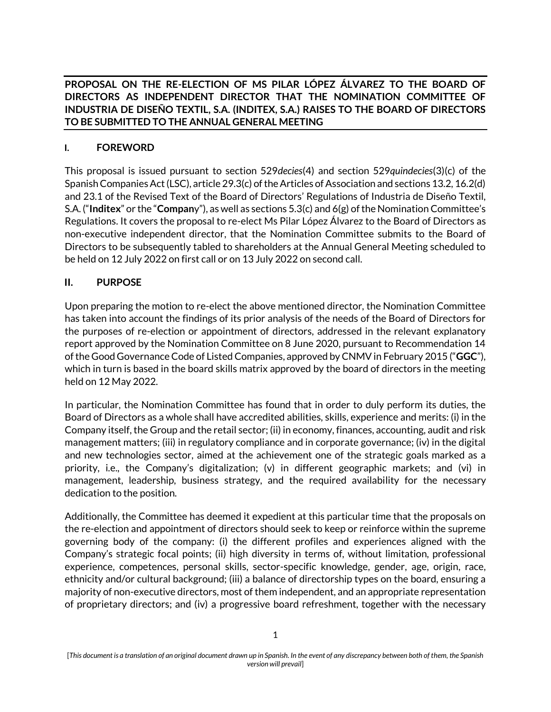**PROPOSAL ON THE RE-ELECTION OF MS PILAR LÓPEZ ÁLVAREZ TO THE BOARD OF DIRECTORS AS INDEPENDENT DIRECTOR THAT THE NOMINATION COMMITTEE OF INDUSTRIA DE DISEÑO TEXTIL, S.A. (INDITEX, S.A.) RAISES TO THE BOARD OF DIRECTORS TO BE SUBMITTED TO THE ANNUAL GENERAL MEETING**

### **I. FOREWORD**

This proposal is issued pursuant to section 529*decies*(4) and section 529*quindecies*(3)(c) of the Spanish Companies Act (LSC), article 29.3(c) of the Articles of Association and sections 13.2, 16.2(d) and 23.1 of the Revised Text of the Board of Directors' Regulations of Industria de Diseño Textil, S.A. ("**Inditex**" or the "**Compan**y"), as well as sections 5.3(c) and 6(g) of the Nomination Committee's Regulations. It covers the proposal to re-elect Ms Pilar López Álvarez to the Board of Directors as non-executive independent director, that the Nomination Committee submits to the Board of Directors to be subsequently tabled to shareholders at the Annual General Meeting scheduled to be held on 12 July 2022 on first call or on 13 July 2022 on second call.

#### **II. PURPOSE**

Upon preparing the motion to re-elect the above mentioned director, the Nomination Committee has taken into account the findings of its prior analysis of the needs of the Board of Directors for the purposes of re-election or appointment of directors, addressed in the relevant explanatory report approved by the Nomination Committee on 8 June 2020, pursuant to Recommendation 14 of the Good Governance Code of Listed Companies, approved by CNMV in February 2015 ("**GGC**"), which in turn is based in the board skills matrix approved by the board of directors in the meeting held on 12 May 2022.

In particular, the Nomination Committee has found that in order to duly perform its duties, the Board of Directors as a whole shall have accredited abilities, skills, experience and merits: (i) in the Company itself, the Group and the retail sector; (ii) in economy, finances, accounting, audit and risk management matters; (iii) in regulatory compliance and in corporate governance; (iv) in the digital and new technologies sector, aimed at the achievement one of the strategic goals marked as a priority, i.e., the Company's digitalization; (v) in different geographic markets; and (vi) in management, leadership, business strategy, and the required availability for the necessary dedication to the position.

Additionally, the Committee has deemed it expedient at this particular time that the proposals on the re-election and appointment of directors should seek to keep or reinforce within the supreme governing body of the company: (i) the different profiles and experiences aligned with the Company's strategic focal points; (ii) high diversity in terms of, without limitation, professional experience, competences, personal skills, sector-specific knowledge, gender, age, origin, race, ethnicity and/or cultural background; (iii) a balance of directorship types on the board, ensuring a majority of non-executive directors, most of them independent, and an appropriate representation of proprietary directors; and (iv) a progressive board refreshment, together with the necessary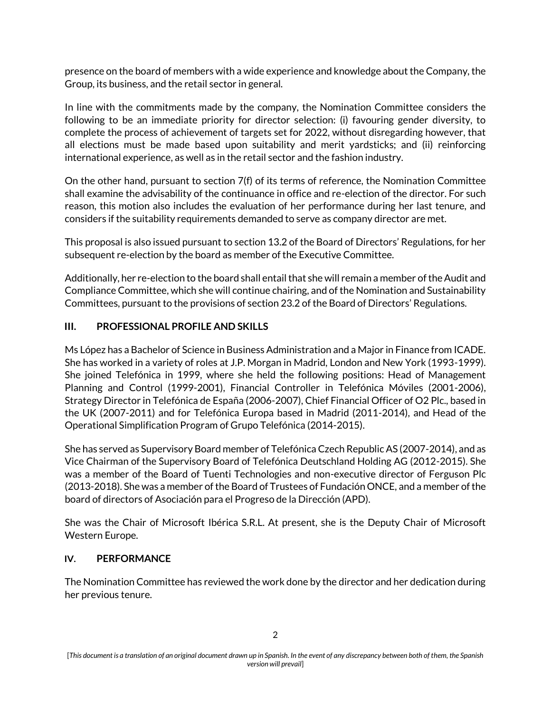presence on the board of members with a wide experience and knowledge about the Company, the Group, its business, and the retail sector in general.

In line with the commitments made by the company, the Nomination Committee considers the following to be an immediate priority for director selection: (i) favouring gender diversity, to complete the process of achievement of targets set for 2022, without disregarding however, that all elections must be made based upon suitability and merit yardsticks; and (ii) reinforcing international experience, as well as in the retail sector and the fashion industry.

On the other hand, pursuant to section 7(f) of its terms of reference, the Nomination Committee shall examine the advisability of the continuance in office and re-election of the director. For such reason, this motion also includes the evaluation of her performance during her last tenure, and considers if the suitability requirements demanded to serve as company director are met.

This proposal is also issued pursuant to section 13.2 of the Board of Directors' Regulations, for her subsequent re-election by the board as member of the Executive Committee.

Additionally, her re-election to the board shall entail that she will remain a member of the Audit and Compliance Committee, which she will continue chairing, and of the Nomination and Sustainability Committees, pursuant to the provisions of section 23.2 of the Board of Directors' Regulations.

### **III. PROFESSIONAL PROFILE AND SKILLS**

Ms López has a Bachelor of Science in Business Administration and a Major in Finance from ICADE. She has worked in a variety of roles at J.P. Morgan in Madrid, London and New York (1993-1999). She joined Telefónica in 1999, where she held the following positions: Head of Management Planning and Control (1999-2001), Financial Controller in Telefónica Móviles (2001-2006), Strategy Director in Telefónica de España (2006-2007), Chief Financial Officer of O2 Plc., based in the UK (2007-2011) and for Telefónica Europa based in Madrid (2011-2014), and Head of the Operational Simplification Program of Grupo Telefónica (2014-2015).

She has served as Supervisory Board member of Telefónica Czech Republic AS (2007-2014), and as Vice Chairman of the Supervisory Board of Telefónica Deutschland Holding AG (2012-2015). She was a member of the Board of Tuenti Technologies and non-executive director of Ferguson Plc (2013-2018). She was a member of the Board of Trustees of Fundación ONCE, and a member of the board of directors of Asociación para el Progreso de la Dirección (APD).

She was the Chair of Microsoft Ibérica S.R.L. At present, she is the Deputy Chair of Microsoft Western Europe.

#### **IV. PERFORMANCE**

The Nomination Committee has reviewed the work done by the director and her dedication during her previous tenure.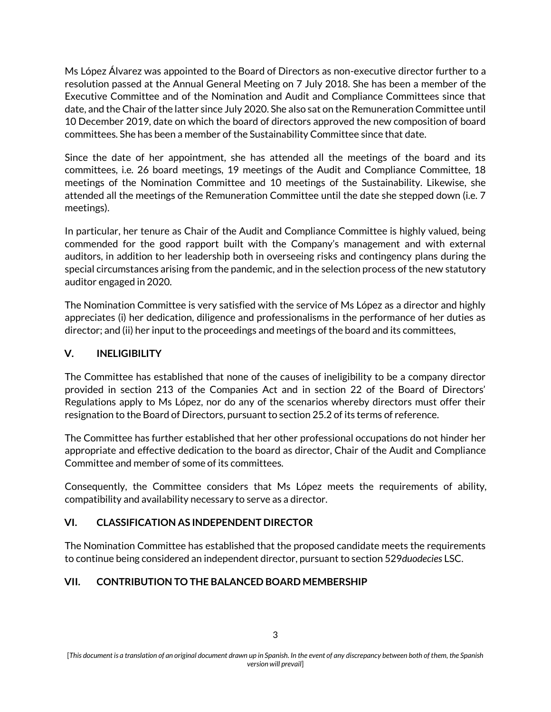Ms López Álvarez was appointed to the Board of Directors as non-executive director further to a resolution passed at the Annual General Meeting on 7 July 2018. She has been a member of the Executive Committee and of the Nomination and Audit and Compliance Committees since that date, and the Chair of the latter since July 2020. She also sat on the Remuneration Committee until 10 December 2019, date on which the board of directors approved the new composition of board committees. She has been a member of the Sustainability Committee since that date.

Since the date of her appointment, she has attended all the meetings of the board and its committees, i.e. 26 board meetings, 19 meetings of the Audit and Compliance Committee, 18 meetings of the Nomination Committee and 10 meetings of the Sustainability. Likewise, she attended all the meetings of the Remuneration Committee until the date she stepped down (i.e. 7 meetings).

In particular, her tenure as Chair of the Audit and Compliance Committee is highly valued, being commended for the good rapport built with the Company's management and with external auditors, in addition to her leadership both in overseeing risks and contingency plans during the special circumstances arising from the pandemic, and in the selection process of the new statutory auditor engaged in 2020.

The Nomination Committee is very satisfied with the service of Ms López as a director and highly appreciates (i) her dedication, diligence and professionalisms in the performance of her duties as director; and (ii) her input to the proceedings and meetings of the board and its committees,

# **V. INELIGIBILITY**

The Committee has established that none of the causes of ineligibility to be a company director provided in section 213 of the Companies Act and in section 22 of the Board of Directors' Regulations apply to Ms López, nor do any of the scenarios whereby directors must offer their resignation to the Board of Directors, pursuant to section 25.2 of its terms of reference.

The Committee has further established that her other professional occupations do not hinder her appropriate and effective dedication to the board as director, Chair of the Audit and Compliance Committee and member of some of its committees.

Consequently, the Committee considers that Ms López meets the requirements of ability, compatibility and availability necessary to serve as a director.

# **VI. CLASSIFICATION AS INDEPENDENT DIRECTOR**

The Nomination Committee has established that the proposed candidate meets the requirements to continue being considered an independent director, pursuant to section 529*duodecies* LSC.

# **VII. CONTRIBUTION TO THE BALANCED BOARD MEMBERSHIP**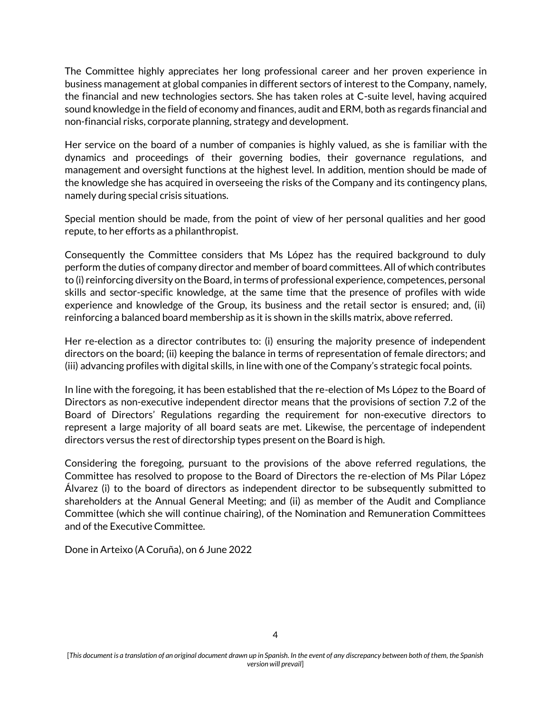The Committee highly appreciates her long professional career and her proven experience in business management at global companies in different sectors of interest to the Company, namely, the financial and new technologies sectors. She has taken roles at C-suite level, having acquired sound knowledge in the field of economy and finances, audit and ERM, both as regards financial and non-financial risks, corporate planning, strategy and development.

Her service on the board of a number of companies is highly valued, as she is familiar with the dynamics and proceedings of their governing bodies, their governance regulations, and management and oversight functions at the highest level. In addition, mention should be made of the knowledge she has acquired in overseeing the risks of the Company and its contingency plans, namely during special crisis situations.

Special mention should be made, from the point of view of her personal qualities and her good repute, to her efforts as a philanthropist.

Consequently the Committee considers that Ms López has the required background to duly perform the duties of company director and member of board committees. All of which contributes to (i) reinforcing diversity on the Board, in terms of professional experience, competences, personal skills and sector-specific knowledge, at the same time that the presence of profiles with wide experience and knowledge of the Group, its business and the retail sector is ensured; and, (ii) reinforcing a balanced board membership as it is shown in the skills matrix, above referred.

Her re-election as a director contributes to: (i) ensuring the majority presence of independent directors on the board; (ii) keeping the balance in terms of representation of female directors; and (iii) advancing profiles with digital skills, in line with one of the Company's strategic focal points.

In line with the foregoing, it has been established that the re-election of Ms López to the Board of Directors as non-executive independent director means that the provisions of section 7.2 of the Board of Directors' Regulations regarding the requirement for non-executive directors to represent a large majority of all board seats are met. Likewise, the percentage of independent directors versus the rest of directorship types present on the Board is high.

Considering the foregoing, pursuant to the provisions of the above referred regulations, the Committee has resolved to propose to the Board of Directors the re-election of Ms Pilar López Álvarez (i) to the board of directors as independent director to be subsequently submitted to shareholders at the Annual General Meeting; and (ii) as member of the Audit and Compliance Committee (which she will continue chairing), of the Nomination and Remuneration Committees and of the Executive Committee.

Done in Arteixo (A Coruña), on 6 June 2022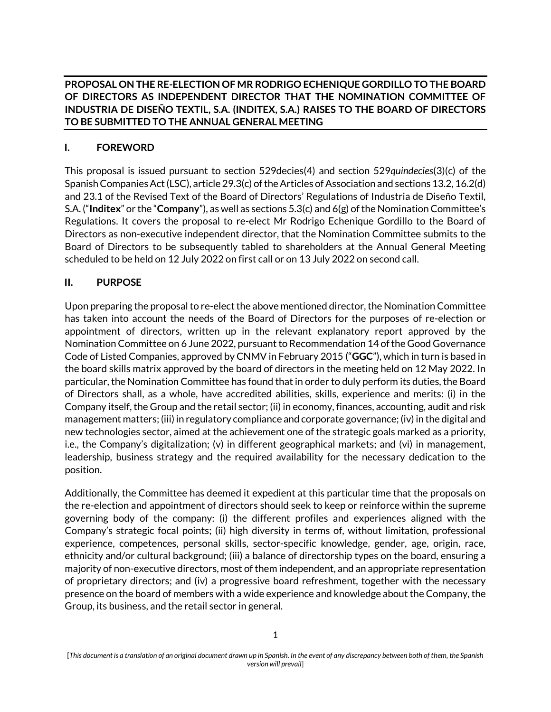**PROPOSAL ON THE RE-ELECTION OF MR RODRIGO ECHENIQUE GORDILLO TO THE BOARD OF DIRECTORS AS INDEPENDENT DIRECTOR THAT THE NOMINATION COMMITTEE OF INDUSTRIA DE DISEÑO TEXTIL, S.A. (INDITEX, S.A.) RAISES TO THE BOARD OF DIRECTORS TO BE SUBMITTED TO THE ANNUAL GENERAL MEETING**

## **I. FOREWORD**

This proposal is issued pursuant to section 529decies(4) and section 529*quindecies*(3)(c) of the Spanish Companies Act (LSC), article 29.3(c) of the Articles of Association and sections 13.2, 16.2(d) and 23.1 of the Revised Text of the Board of Directors' Regulations of Industria de Diseño Textil, S.A. ("**Inditex**" or the "**Company**"), as well as sections 5.3(c) and 6(g) of the Nomination Committee's Regulations. It covers the proposal to re-elect Mr Rodrigo Echenique Gordillo to the Board of Directors as non-executive independent director, that the Nomination Committee submits to the Board of Directors to be subsequently tabled to shareholders at the Annual General Meeting scheduled to be held on 12 July 2022 on first call or on 13 July 2022 on second call.

### **II. PURPOSE**

Upon preparing the proposal to re-elect the above mentioned director, the Nomination Committee has taken into account the needs of the Board of Directors for the purposes of re-election or appointment of directors, written up in the relevant explanatory report approved by the Nomination Committee on 6 June 2022, pursuant to Recommendation 14 of the Good Governance Code of Listed Companies, approved by CNMV in February 2015 ("**GGC**"), which in turn is based in the board skills matrix approved by the board of directors in the meeting held on 12 May 2022. In particular, the Nomination Committee has found that in order to duly perform its duties, the Board of Directors shall, as a whole, have accredited abilities, skills, experience and merits: (i) in the Company itself, the Group and the retail sector; (ii) in economy, finances, accounting, audit and risk management matters; (iii) in regulatory compliance and corporate governance; (iv) in the digital and new technologies sector, aimed at the achievement one of the strategic goals marked as a priority, i.e., the Company's digitalization; (v) in different geographical markets; and (vi) in management, leadership, business strategy and the required availability for the necessary dedication to the position.

Additionally, the Committee has deemed it expedient at this particular time that the proposals on the re-election and appointment of directors should seek to keep or reinforce within the supreme governing body of the company: (i) the different profiles and experiences aligned with the Company's strategic focal points; (ii) high diversity in terms of, without limitation, professional experience, competences, personal skills, sector-specific knowledge, gender, age, origin, race, ethnicity and/or cultural background; (iii) a balance of directorship types on the board, ensuring a majority of non-executive directors, most of them independent, and an appropriate representation of proprietary directors; and (iv) a progressive board refreshment, together with the necessary presence on the board of members with a wide experience and knowledge about the Company, the Group, its business, and the retail sector in general.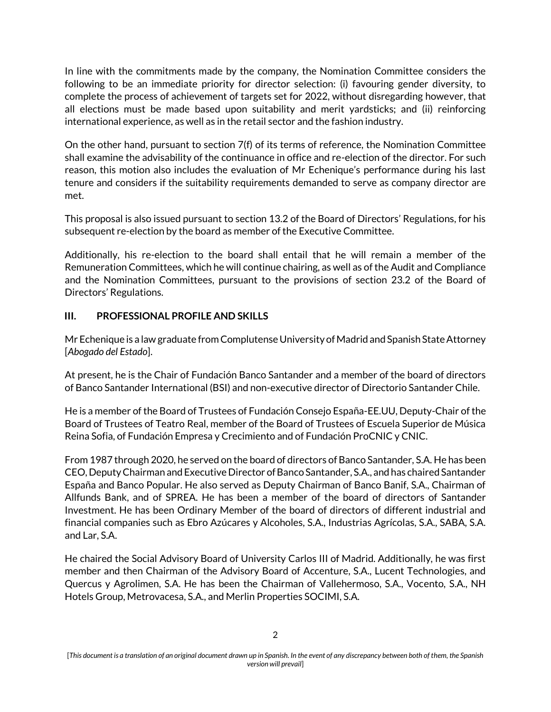In line with the commitments made by the company, the Nomination Committee considers the following to be an immediate priority for director selection: (i) favouring gender diversity, to complete the process of achievement of targets set for 2022, without disregarding however, that all elections must be made based upon suitability and merit yardsticks; and (ii) reinforcing international experience, as well as in the retail sector and the fashion industry.

On the other hand, pursuant to section 7(f) of its terms of reference, the Nomination Committee shall examine the advisability of the continuance in office and re-election of the director. For such reason, this motion also includes the evaluation of Mr Echenique's performance during his last tenure and considers if the suitability requirements demanded to serve as company director are met.

This proposal is also issued pursuant to section 13.2 of the Board of Directors' Regulations, for his subsequent re-election by the board as member of the Executive Committee.

Additionally, his re-election to the board shall entail that he will remain a member of the Remuneration Committees, which he will continue chairing, as well as of the Audit and Compliance and the Nomination Committees, pursuant to the provisions of section 23.2 of the Board of Directors' Regulations.

### **III. PROFESSIONAL PROFILE AND SKILLS**

Mr Echenique is a law graduate from Complutense University of Madrid and Spanish State Attorney [*Abogado del Estado*].

At present, he is the Chair of Fundación Banco Santander and a member of the board of directors of Banco Santander International (BSI) and non-executive director of Directorio Santander Chile.

He is a member of the Board of Trustees of Fundación Consejo España-EE.UU, Deputy-Chair of the Board of Trustees of Teatro Real, member of the Board of Trustees of Escuela Superior de Música Reina Sofia, of Fundación Empresa y Crecimiento and of Fundación ProCNIC y CNIC.

From 1987 through 2020, he served on the board of directors of Banco Santander, S.A. He has been CEO, Deputy Chairman and Executive Director of Banco Santander, S.A., and has chaired Santander España and Banco Popular. He also served as Deputy Chairman of Banco Banif, S.A., Chairman of Allfunds Bank, and of SPREA. He has been a member of the board of directors of Santander Investment. He has been Ordinary Member of the board of directors of different industrial and financial companies such as Ebro Azúcares y Alcoholes, S.A., Industrias Agrícolas, S.A., SABA, S.A. and Lar, S.A.

He chaired the Social Advisory Board of University Carlos III of Madrid. Additionally, he was first member and then Chairman of the Advisory Board of Accenture, S.A., Lucent Technologies, and Quercus y Agrolimen, S.A. He has been the Chairman of Vallehermoso, S.A., Vocento, S.A., NH Hotels Group, Metrovacesa, S.A., and Merlin Properties SOCIMI, S.A.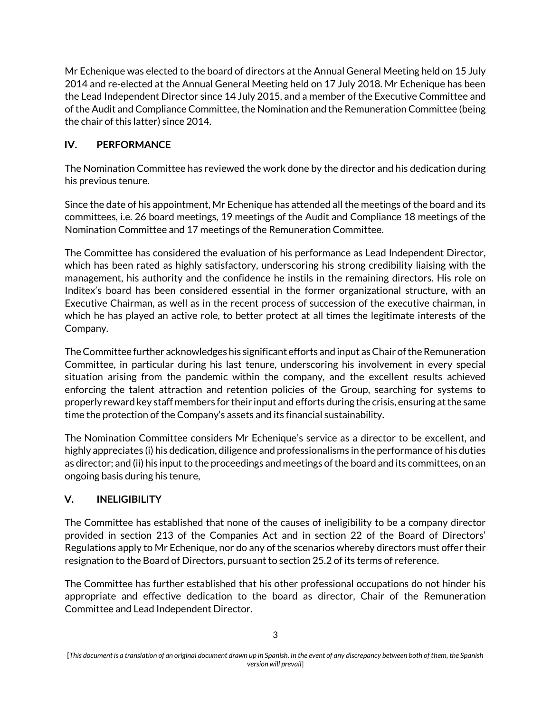Mr Echenique was elected to the board of directors at the Annual General Meeting held on 15 July 2014 and re-elected at the Annual General Meeting held on 17 July 2018. Mr Echenique has been the Lead Independent Director since 14 July 2015, and a member of the Executive Committee and of the Audit and Compliance Committee, the Nomination and the Remuneration Committee (being the chair of this latter) since 2014.

# **IV. PERFORMANCE**

The Nomination Committee has reviewed the work done by the director and his dedication during his previous tenure.

Since the date of his appointment, Mr Echenique has attended all the meetings of the board and its committees, i.e. 26 board meetings, 19 meetings of the Audit and Compliance 18 meetings of the Nomination Committee and 17 meetings of the Remuneration Committee.

The Committee has considered the evaluation of his performance as Lead Independent Director, which has been rated as highly satisfactory, underscoring his strong credibility liaising with the management, his authority and the confidence he instils in the remaining directors. His role on Inditex's board has been considered essential in the former organizational structure, with an Executive Chairman, as well as in the recent process of succession of the executive chairman, in which he has played an active role, to better protect at all times the legitimate interests of the Company.

The Committee further acknowledges his significant efforts and input as Chair of the Remuneration Committee, in particular during his last tenure, underscoring his involvement in every special situation arising from the pandemic within the company, and the excellent results achieved enforcing the talent attraction and retention policies of the Group, searching for systems to properly reward key staff members for their input and efforts during the crisis, ensuring at the same time the protection of the Company's assets and its financial sustainability.

The Nomination Committee considers Mr Echenique's service as a director to be excellent, and highly appreciates (i) his dedication, diligence and professionalisms in the performance of his duties as director; and (ii) his input to the proceedings and meetings of the board and its committees, on an ongoing basis during his tenure,

# **V. INELIGIBILITY**

The Committee has established that none of the causes of ineligibility to be a company director provided in section 213 of the Companies Act and in section 22 of the Board of Directors' Regulations apply to Mr Echenique, nor do any of the scenarios whereby directors must offer their resignation to the Board of Directors, pursuant to section 25.2 of its terms of reference.

The Committee has further established that his other professional occupations do not hinder his appropriate and effective dedication to the board as director, Chair of the Remuneration Committee and Lead Independent Director.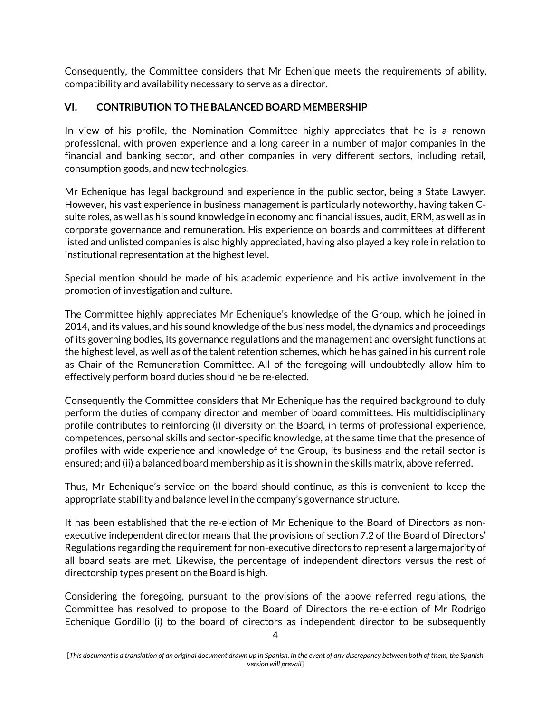Consequently, the Committee considers that Mr Echenique meets the requirements of ability, compatibility and availability necessary to serve as a director.

#### **VI. CONTRIBUTION TO THE BALANCED BOARD MEMBERSHIP**

In view of his profile, the Nomination Committee highly appreciates that he is a renown professional, with proven experience and a long career in a number of major companies in the financial and banking sector, and other companies in very different sectors, including retail, consumption goods, and new technologies.

Mr Echenique has legal background and experience in the public sector, being a State Lawyer. However, his vast experience in business management is particularly noteworthy, having taken Csuite roles, as well as his sound knowledge in economy and financial issues, audit, ERM, as well as in corporate governance and remuneration. His experience on boards and committees at different listed and unlisted companies is also highly appreciated, having also played a key role in relation to institutional representation at the highest level.

Special mention should be made of his academic experience and his active involvement in the promotion of investigation and culture.

The Committee highly appreciates Mr Echenique's knowledge of the Group, which he joined in 2014, and its values, and his sound knowledge of the business model, the dynamics and proceedings of its governing bodies, its governance regulations and the management and oversight functions at the highest level, as well as of the talent retention schemes, which he has gained in his current role as Chair of the Remuneration Committee. All of the foregoing will undoubtedly allow him to effectively perform board duties should he be re-elected.

Consequently the Committee considers that Mr Echenique has the required background to duly perform the duties of company director and member of board committees. His multidisciplinary profile contributes to reinforcing (i) diversity on the Board, in terms of professional experience, competences, personal skills and sector-specific knowledge, at the same time that the presence of profiles with wide experience and knowledge of the Group, its business and the retail sector is ensured; and (ii) a balanced board membership as it is shown in the skills matrix, above referred.

Thus, Mr Echenique's service on the board should continue, as this is convenient to keep the appropriate stability and balance level in the company's governance structure.

It has been established that the re-election of Mr Echenique to the Board of Directors as nonexecutive independent director means that the provisions of section 7.2 of the Board of Directors' Regulations regarding the requirement for non-executive directors to represent a large majority of all board seats are met. Likewise, the percentage of independent directors versus the rest of directorship types present on the Board is high.

Considering the foregoing, pursuant to the provisions of the above referred regulations, the Committee has resolved to propose to the Board of Directors the re-election of Mr Rodrigo Echenique Gordillo (i) to the board of directors as independent director to be subsequently